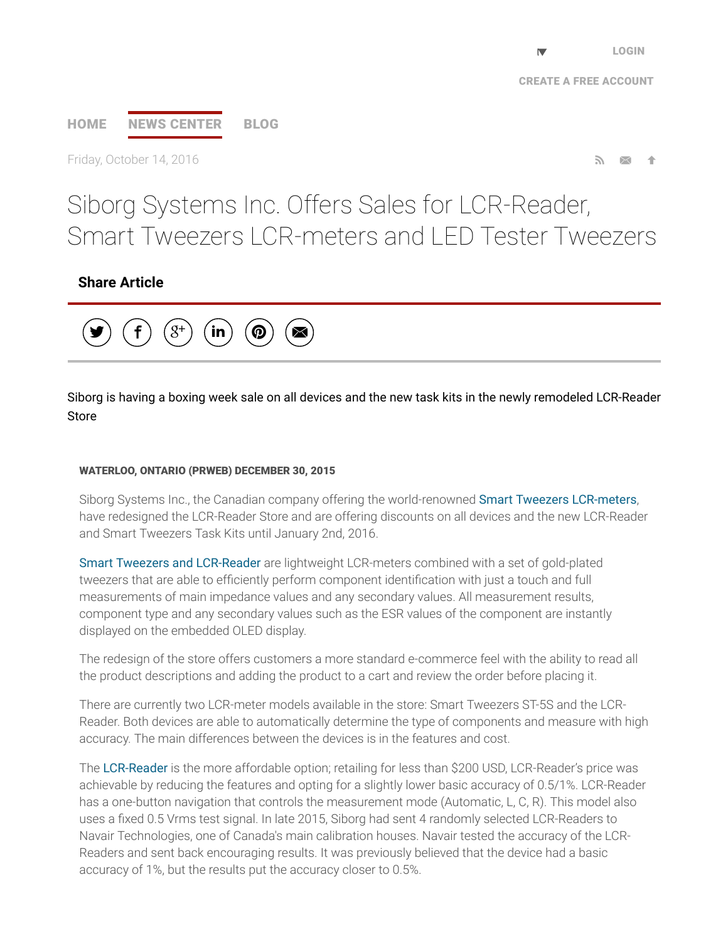# [HOME](http://www.prweb.com/) NEWS [CENTER](http://www.prweb.com/recentnews/) [BLOG](http://www.cision.com/us/blog/)

Friday, October 14, 2016

Siborg Systems Inc. Offers Sales for LCR-Reader, Smart Tweezers LCR-meters and LED Tester Tweezers

## Share Article



Siborg is having a boxing week sale on all devices and the new task kits in the newly remodeled LCR-Reader Store

#### WATERLOO, ONTARIO (PRWEB) DECEMBER 30, 2015

Siborg Systems Inc., the Canadian company offering the world-renowned Smart Tweezers [LCR-meters,](http://www.prweb.net/Redirect.aspx?id=aHR0cHM6Ly9zZWN1cmUubGNyLXJlYWRlci5jb20vY2F0YWxvZw==) have redesigned the LCR-Reader Store and are offering discounts on all devices and the new LCR-Reader and Smart Tweezers Task Kits until January 2nd, 2016.

Smart Tweezers and [LCR-Reader](http://www.prweb.net/Redirect.aspx?id=aHR0cDovL3d3dy5sY3ItcmVhZGVyLmNvbQ==) are lightweight LCR-meters combined with a set of gold-plated tweezers that are able to efficiently perform component identification with just a touch and full measurements of main impedance values and any secondary values. All measurement results, component type and any secondary values such as the ESR values of the component are instantly displayed on the embedded OLED display.

The redesign of the store offers customers a more standard e-commerce feel with the ability to read all the product descriptions and adding the product to a cart and review the order before placing it.

There are currently two LCR-meter models available in the store: Smart Tweezers ST-5S and the LCR-Reader. Both devices are able to automatically determine the type of components and measure with high accuracy. The main differences between the devices is in the features and cost.

The [LCR-Reader](http://www.prweb.net/Redirect.aspx?id=aHR0cDovL3d3dy5sY3ItcmVhZGVyLmNh) is the more affordable option; retailing for less than \$200 USD, LCR-Reader's price was achievable by reducing the features and opting for a slightly lower basic accuracy of 0.5/1%. LCR-Reader has a one-button navigation that controls the measurement mode (Automatic, L, C, R). This model also uses a fixed 0.5 Vrms test signal. In late 2015, Siborg had sent 4 randomly selected LCR-Readers to Navair Technologies, one of Canada's main calibration houses. Navair tested the accuracy of the LCR-Readers and sent back encouraging results. It was previously believed that the device had a basic accuracy of 1%, but the results put the accuracy closer to 0.5%.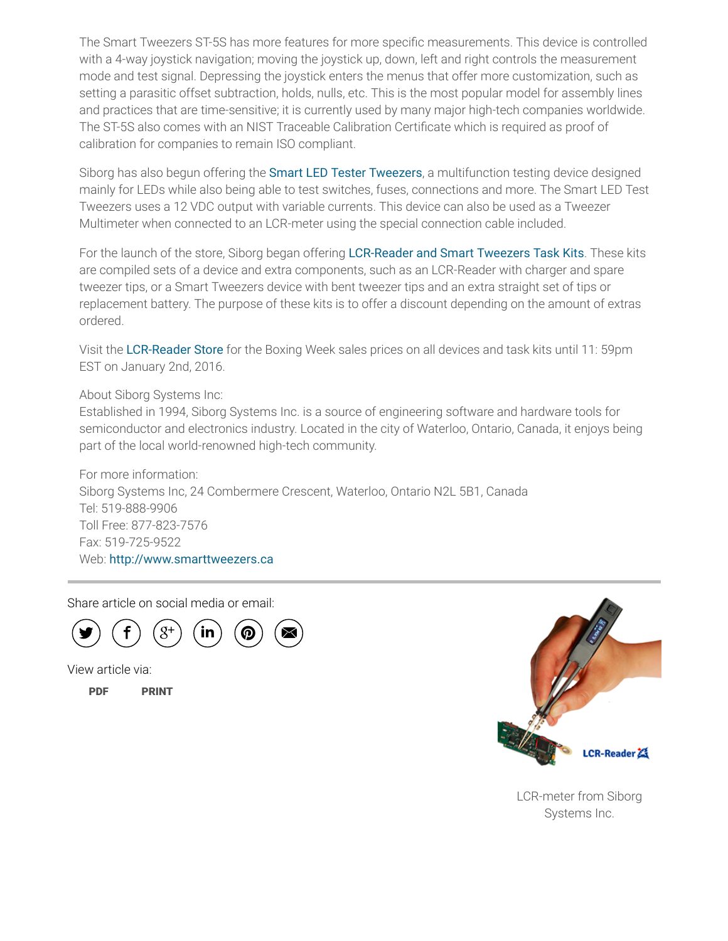The Smart Tweezers ST-5S has more features for more specific measurements. This device is controlled with a 4-way joystick navigation; moving the joystick up, down, left and right controls the measurement mode and test signal. Depressing the joystick enters the menus that offer more customization, such as setting a parasitic offset subtraction, holds, nulls, etc. This is the most popular model for assembly lines and practices that are time-sensitive; it is currently used by many major high-tech companies worldwide. The ST-5S also comes with an NIST Traceable Calibration Certificate which is required as proof of calibration for companies to remain ISO compliant.

Siborg has also begun offering the **Smart LED Tester [Tweezers](http://www.prweb.net/Redirect.aspx?id=aHR0cDovL3d3dy5zbWFydHR3ZWV6ZXJzLnVzL2xlZF90ZXN0X3R3ZWV6ZXJzLmh0bWw=)**, a multifunction testing device designed mainly for LEDs while also being able to test switches, fuses, connections and more. The Smart LED Test Tweezers uses a 12 VDC output with variable currents. This device can also be used as a Tweezer Multimeter when connected to an LCR-meter using the special connection cable included.

For the launch of the store, Siborg began offering [LCR-Reader](http://www.prweb.net/Redirect.aspx?id=aHR0cDovL3d3dy5zbWFydHR3ZWV6ZXJzLnVz) and Smart Tweezers Task Kits. These kits are compiled sets of a device and extra components, such as an LCR-Reader with charger and spare tweezer tips, or a Smart Tweezers device with bent tweezer tips and an extra straight set of tips or replacement battery. The purpose of these kits is to offer a discount depending on the amount of extras ordered.

Visit the [LCR-Reader](http://www.prweb.net/Redirect.aspx?id=aHR0cHM6Ly9zZWN1cmUubGNyLXJlYWRlci5jb20vY2F0YWxvZw==) Store for the Boxing Week sales prices on all devices and task kits until 11: 59pm EST on January 2nd, 2016.

#### About Siborg Systems Inc:

Established in 1994, Siborg Systems Inc. is a source of engineering software and hardware tools for semiconductor and electronics industry. Located in the city of Waterloo, Ontario, Canada, it enjoys being part of the local world-renowned high-tech community.

For more information: Siborg Systems Inc, 24 Combermere Crescent, Waterloo, Ontario N2L 5B1, Canada Tel: 519-888-9906 Toll Free: 877-823-7576 Fax: 519-725-9522 Web: [http://www.smarttweezers.ca](http://www.prweb.net/Redirect.aspx?id=aHR0cDovL3d3dy5zbWFydHR3ZWV6ZXJzLmNh)

Share article on social media or email:



View article via:

[PDF](http://www.prweb.com/pdfdownload/13145723.pdf) [PRINT](http://www.prweb.com/printer/13145723.htm)



LCR-meter from Siborg Systems Inc.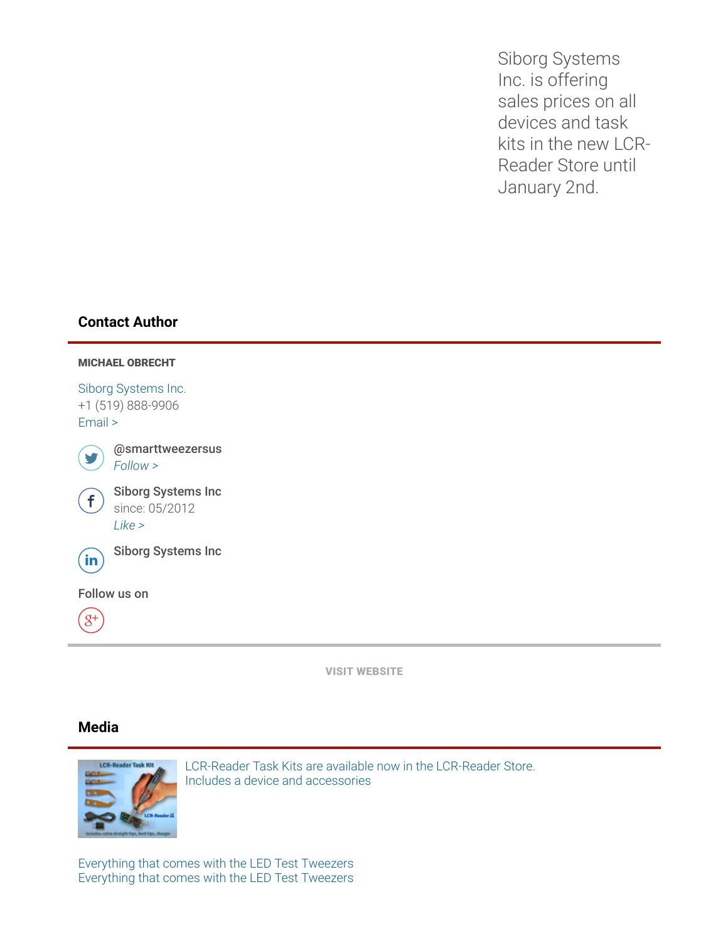Siborg Systems Inc. is offering sales prices on all devices and task kits in the new LCR-Reader Store until January 2nd.

## Contact Author



VISIT [WEBSITE](http://www.prweb.net/Redirect.aspx?id=aHR0cDovL3d3dy5sY3ItcmVhZGVyLmNvbQ==)

## Media



LCR-Reader Task Kits are available now in the LCR-Reader Store. Includes a device and [accessories](http://ww1.prweb.com/prfiles/2015/12/29/13145723/taskkitprweb.jpg)

[Everything](http://ww1.prweb.com/prfiles/2015/11/02/13145723/everything.jpg) that comes with the LED Test Tweezers Everything that comes with the LED Test Tweezers